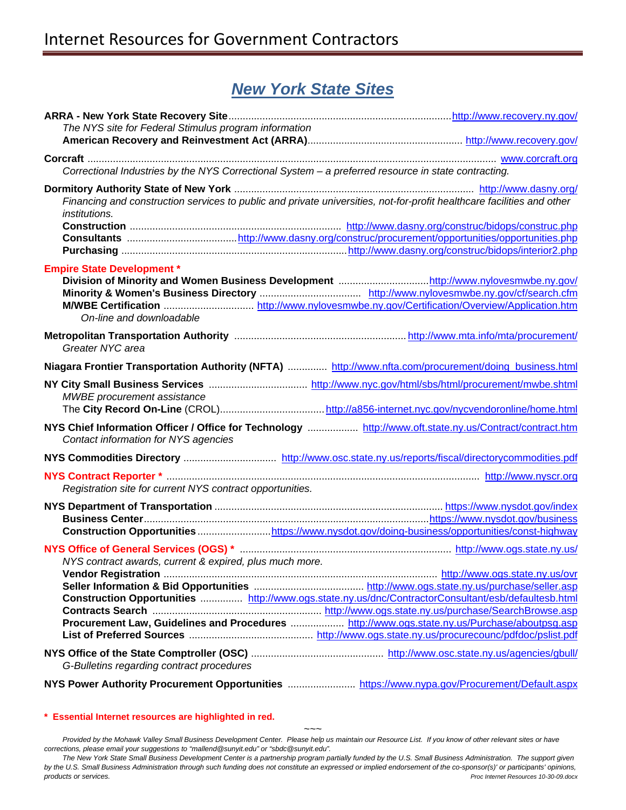## *New York State Sites*

| The NYS site for Federal Stimulus program information                                                   |                                                                                                                        |
|---------------------------------------------------------------------------------------------------------|------------------------------------------------------------------------------------------------------------------------|
|                                                                                                         |                                                                                                                        |
|                                                                                                         |                                                                                                                        |
| Correctional Industries by the NYS Correctional System - a preferred resource in state contracting.     |                                                                                                                        |
|                                                                                                         |                                                                                                                        |
|                                                                                                         | Financing and construction services to public and private universities, not-for-profit healthcare facilities and other |
| <i>institutions.</i>                                                                                    |                                                                                                                        |
|                                                                                                         |                                                                                                                        |
|                                                                                                         |                                                                                                                        |
|                                                                                                         |                                                                                                                        |
| <b>Empire State Development *</b>                                                                       |                                                                                                                        |
|                                                                                                         |                                                                                                                        |
|                                                                                                         |                                                                                                                        |
| On-line and downloadable                                                                                |                                                                                                                        |
|                                                                                                         |                                                                                                                        |
| Greater NYC area                                                                                        |                                                                                                                        |
| Niagara Frontier Transportation Authority (NFTA)  http://www.nfta.com/procurement/doing_business.html   |                                                                                                                        |
|                                                                                                         |                                                                                                                        |
| MWBE procurement assistance                                                                             |                                                                                                                        |
|                                                                                                         |                                                                                                                        |
| NYS Chief Information Officer / Office for Technology  http://www.oft.state.ny.us/Contract/contract.htm |                                                                                                                        |
| Contact information for NYS agencies                                                                    |                                                                                                                        |
|                                                                                                         |                                                                                                                        |
|                                                                                                         |                                                                                                                        |
| Registration site for current NYS contract opportunities.                                               |                                                                                                                        |
|                                                                                                         |                                                                                                                        |
|                                                                                                         |                                                                                                                        |
|                                                                                                         | Construction Opportunitieshttps://www.nysdot.gov/doing-business/opportunities/const-highway                            |
|                                                                                                         |                                                                                                                        |
| NYS contract awards, current & expired, plus much more.                                                 |                                                                                                                        |
|                                                                                                         |                                                                                                                        |
|                                                                                                         |                                                                                                                        |
|                                                                                                         | Construction Opportunities  http://www.ogs.state.ny.us/dnc/ContractorConsultant/esb/defaultesb.html                    |
|                                                                                                         |                                                                                                                        |
|                                                                                                         | Procurement Law, Guidelines and Procedures  http://www.ogs.state.ny.us/Purchase/aboutpsg.asp                           |
|                                                                                                         |                                                                                                                        |
|                                                                                                         |                                                                                                                        |
| G-Bulletins regarding contract procedures                                                               |                                                                                                                        |
|                                                                                                         | NYS Power Authority Procurement Opportunities  https://www.nypa.gov/Procurement/Default.aspx                           |

## **[\\* Essential Internet resources are highlighted in red.](http://www.pr.doe.gov/)**

*~~~ Provided by the Mohawk Valley Small Business Development Center. Please help us maintain our Resource List. If you know of other relevant sites or have corrections, please email your suggestions to "mallend@sunyit.edu" or "sbdc@sunyit.edu".* 

*The New York State Small Business Development Center is a partnership program partially funded by the U.S. Small Business Administration. The support given by the U.S. Small Business Administration through such funding does not constitute an expressed or implied endorsement of the co-sponsor(s)' or participants' opinions, products or services. Proc Internet Resources 10-30-09.docx*